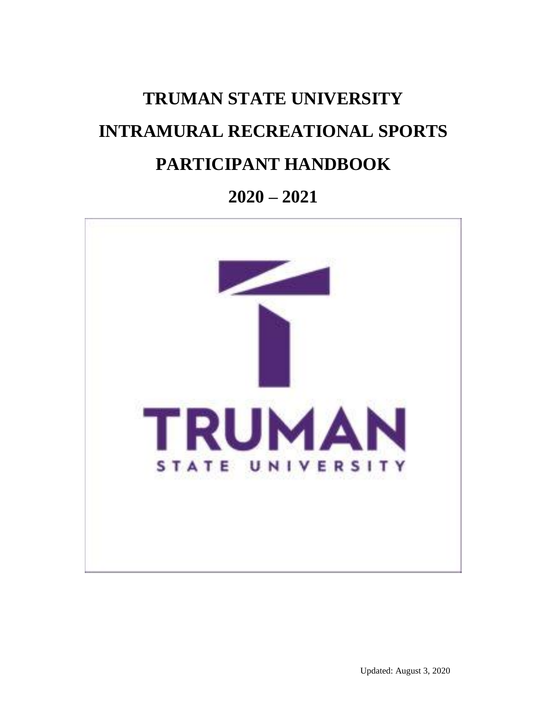# **TRUMAN STATE UNIVERSITY INTRAMURAL RECREATIONAL SPORTS PARTICIPANT HANDBOOK**

# **2020 – 2021**

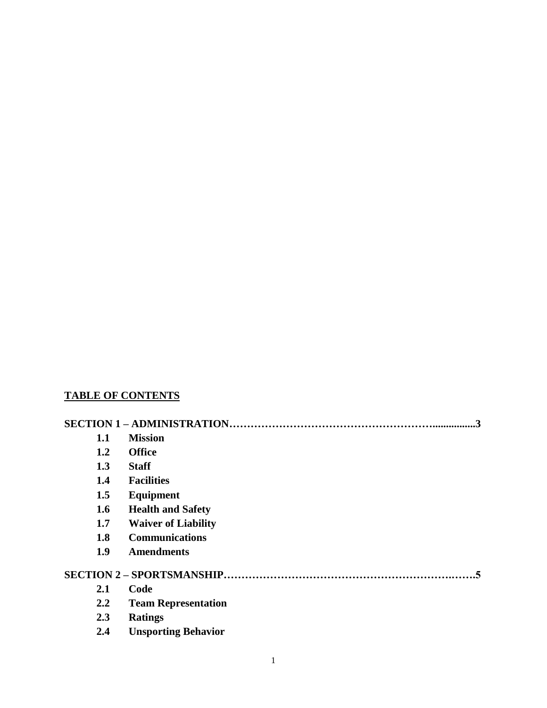# **TABLE OF CONTENTS**

|                  | $\cdot$ .3                 |
|------------------|----------------------------|
| 1.1              | <b>Mission</b>             |
| 1.2              | <b>Office</b>              |
| 1.3              | <b>Staff</b>               |
| 1.4              | <b>Facilities</b>          |
| 1.5              | Equipment                  |
| 1.6              | <b>Health and Safety</b>   |
| 1.7              | <b>Waiver of Liability</b> |
| 1.8              | <b>Communications</b>      |
| 1.9              | <b>Amendments</b>          |
|                  |                            |
| 2.1              | Code                       |
| $2.2\phantom{0}$ | <b>Team Representation</b> |
| 2.3              | <b>Ratings</b>             |
| 2.4              | <b>Unsporting Behavior</b> |
|                  |                            |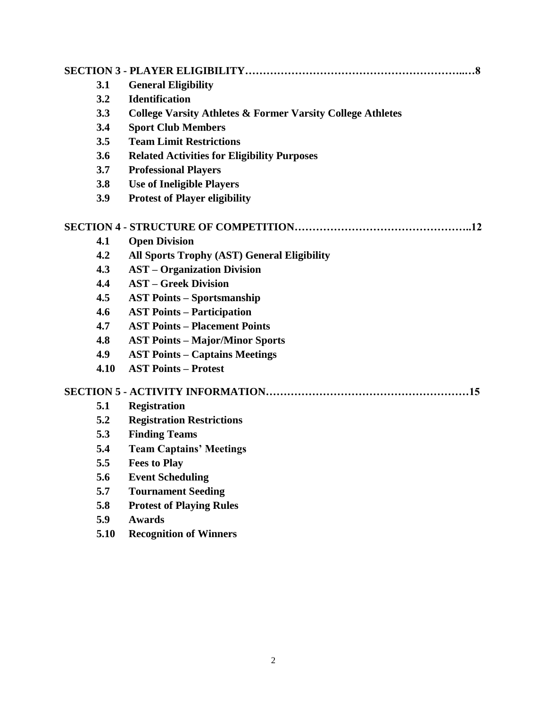| 3.1  | <b>General Eligibility</b>                                            |
|------|-----------------------------------------------------------------------|
| 3.2  | <b>Identification</b>                                                 |
| 3.3  | <b>College Varsity Athletes &amp; Former Varsity College Athletes</b> |
| 3.4  | <b>Sport Club Members</b>                                             |
| 3.5  | <b>Team Limit Restrictions</b>                                        |
| 3.6  | <b>Related Activities for Eligibility Purposes</b>                    |
| 3.7  | <b>Professional Players</b>                                           |
| 3.8  | <b>Use of Ineligible Players</b>                                      |
| 3.9  | <b>Protest of Player eligibility</b>                                  |
|      |                                                                       |
| 4.1  | <b>Open Division</b>                                                  |
| 4.2  | <b>All Sports Trophy (AST) General Eligibility</b>                    |
| 4.3  | <b>AST</b> – Organization Division                                    |
| 4.4  | <b>AST - Greek Division</b>                                           |
| 4.5  | <b>AST Points – Sportsmanship</b>                                     |
| 4.6  | <b>AST Points – Participation</b>                                     |
| 4.7  | <b>AST Points - Placement Points</b>                                  |
| 4.8  | <b>AST Points - Major/Minor Sports</b>                                |
| 4.9  | <b>AST Points – Captains Meetings</b>                                 |
| 4.10 | <b>AST Points - Protest</b>                                           |
|      |                                                                       |
| 5.1  | <b>Registration</b>                                                   |
| 5.2  | <b>Registration Restrictions</b>                                      |
| 5.3  | <b>Finding Teams</b>                                                  |
| 5.4  | <b>Team Captains' Meetings</b>                                        |
| 5.5  | <b>Fees to Play</b>                                                   |
| 5.6  | <b>Event Scheduling</b>                                               |
| 5.7  | <b>Tournament Seeding</b>                                             |
| 5.8  | <b>Protest of Playing Rules</b>                                       |
| 5.9  | <b>Awards</b>                                                         |
| 5.10 | <b>Recognition of Winners</b>                                         |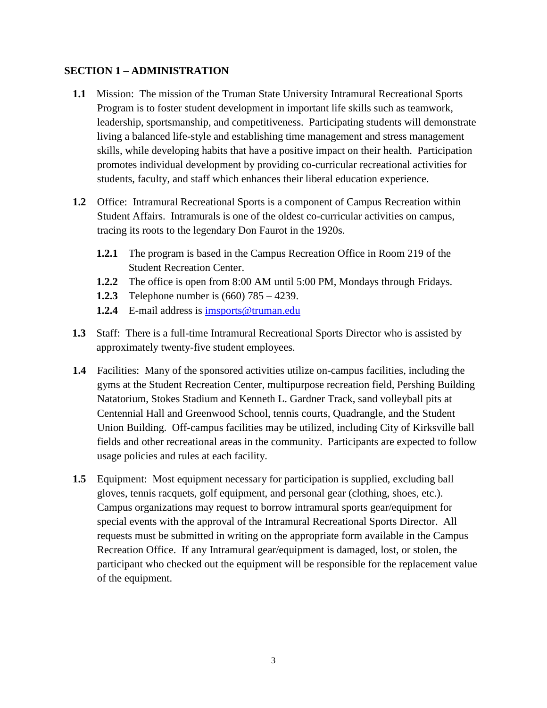#### **SECTION 1 – ADMINISTRATION**

- **1.1** Mission: The mission of the Truman State University Intramural Recreational Sports Program is to foster student development in important life skills such as teamwork, leadership, sportsmanship, and competitiveness. Participating students will demonstrate living a balanced life-style and establishing time management and stress management skills, while developing habits that have a positive impact on their health. Participation promotes individual development by providing co-curricular recreational activities for students, faculty, and staff which enhances their liberal education experience.
- **1.2** Office: Intramural Recreational Sports is a component of Campus Recreation within Student Affairs. Intramurals is one of the oldest co-curricular activities on campus, tracing its roots to the legendary Don Faurot in the 1920s.
	- **1.2.1** The program is based in the Campus Recreation Office in Room 219 of the Student Recreation Center.
	- **1.2.2** The office is open from 8:00 AM until 5:00 PM, Mondays through Fridays.
	- **1.2.3** Telephone number is (660) 785 4239.
	- **1.2.4** E-mail address is [imsports@truman.edu](mailto:imsports@truman.edu)
- **1.3** Staff: There is a full-time Intramural Recreational Sports Director who is assisted by approximately twenty-five student employees.
- **1.4** Facilities: Many of the sponsored activities utilize on-campus facilities, including the gyms at the Student Recreation Center, multipurpose recreation field, Pershing Building Natatorium, Stokes Stadium and Kenneth L. Gardner Track, sand volleyball pits at Centennial Hall and Greenwood School, tennis courts, Quadrangle, and the Student Union Building. Off-campus facilities may be utilized, including City of Kirksville ball fields and other recreational areas in the community. Participants are expected to follow usage policies and rules at each facility.
- **1.5** Equipment: Most equipment necessary for participation is supplied, excluding ball gloves, tennis racquets, golf equipment, and personal gear (clothing, shoes, etc.). Campus organizations may request to borrow intramural sports gear/equipment for special events with the approval of the Intramural Recreational Sports Director. All requests must be submitted in writing on the appropriate form available in the Campus Recreation Office. If any Intramural gear/equipment is damaged, lost, or stolen, the participant who checked out the equipment will be responsible for the replacement value of the equipment.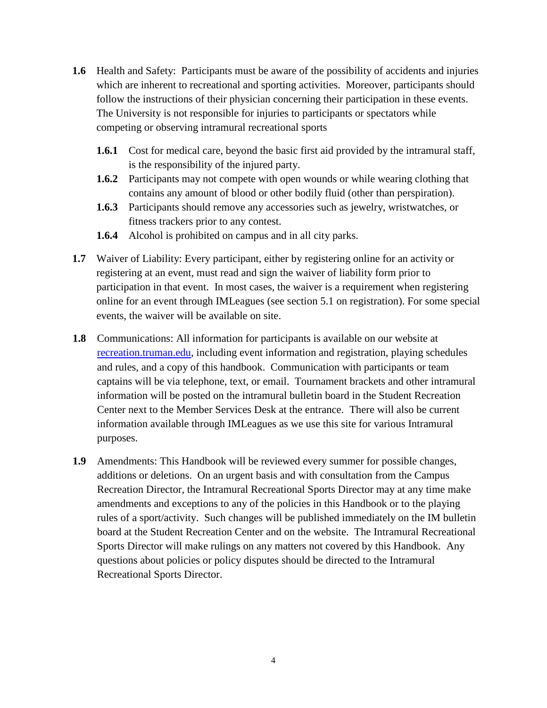- **1.6** Health and Safety: Participants must be aware of the possibility of accidents and injuries which are inherent to recreational and sporting activities. Moreover, participants should follow the instructions of their physician concerning their participation in these events. The University is not responsible for injuries to participants or spectators while competing or observing intramural recreational sports
	- **1.6.1** Cost for medical care, beyond the basic first aid provided by the intramural staff, is the responsibility of the injured party.
	- **1.6.2** Participants may not compete with open wounds or while wearing clothing that contains any amount of blood or other bodily fluid (other than perspiration).
	- **1.6.3** Participants should remove any accessories such as jewelry, wristwatches, or fitness trackers prior to any contest.
	- **1.6.4** Alcohol is prohibited on campus and in all city parks.
- **1.7** Waiver of Liability: Every participant, either by registering online for an activity or registering at an event, must read and sign the waiver of liability form prior to participation in that event. In most cases, the waiver is a requirement when registering online for an event through IMLeagues (see section 5.1 on registration). For some special events, the waiver will be available on site.
- **1.8** Communications: All information for participants is available on our website at [recreation.truman.edu,](http://truman.edu/recreation/intramural-sports) including event information and registration, playing schedules and rules, and a copy of this handbook. Communication with participants or team captains will be via telephone, text, or email. Tournament brackets and other intramural information will be posted on the intramural bulletin board in the Student Recreation Center next to the Member Services Desk at the entrance. There will also be current information available through IMLeagues as we use this site for various Intramural purposes.
- **1.9** Amendments: This Handbook will be reviewed every summer for possible changes, additions or deletions. On an urgent basis and with consultation from the Campus Recreation Director, the Intramural Recreational Sports Director may at any time make amendments and exceptions to any of the policies in this Handbook or to the playing rules of a sport/activity. Such changes will be published immediately on the IM bulletin board at the Student Recreation Center and on the website. The Intramural Recreational Sports Director will make rulings on any matters not covered by this Handbook. Any questions about policies or policy disputes should be directed to the Intramural Recreational Sports Director.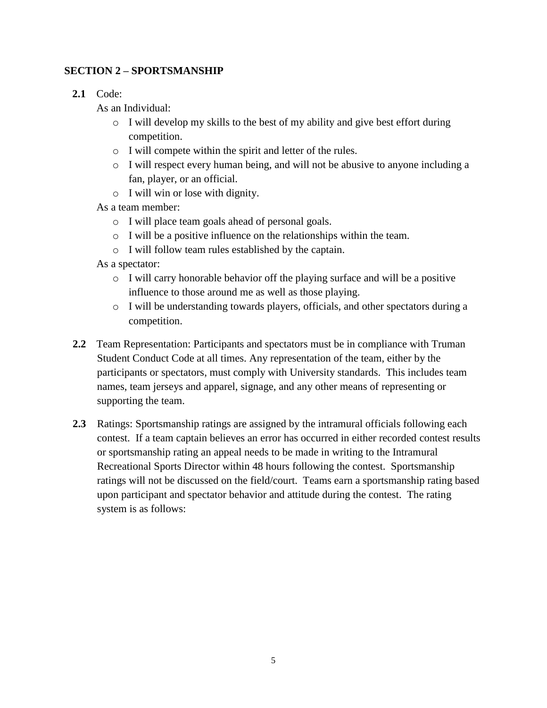## **SECTION 2 – SPORTSMANSHIP**

**2.1** Code:

As an Individual:

- $\circ$  I will develop my skills to the best of my ability and give best effort during competition.
- o I will compete within the spirit and letter of the rules.
- o I will respect every human being, and will not be abusive to anyone including a fan, player, or an official.
- o I will win or lose with dignity.

As a team member:

- o I will place team goals ahead of personal goals.
- o I will be a positive influence on the relationships within the team.
- o I will follow team rules established by the captain.

As a spectator:

- o I will carry honorable behavior off the playing surface and will be a positive influence to those around me as well as those playing.
- o I will be understanding towards players, officials, and other spectators during a competition.
- **2.2** Team Representation: Participants and spectators must be in compliance with Truman Student Conduct Code at all times. Any representation of the team, either by the participants or spectators, must comply with University standards. This includes team names, team jerseys and apparel, signage, and any other means of representing or supporting the team.
- **2.3** Ratings: Sportsmanship ratings are assigned by the intramural officials following each contest. If a team captain believes an error has occurred in either recorded contest results or sportsmanship rating an appeal needs to be made in writing to the Intramural Recreational Sports Director within 48 hours following the contest. Sportsmanship ratings will not be discussed on the field/court. Teams earn a sportsmanship rating based upon participant and spectator behavior and attitude during the contest. The rating system is as follows: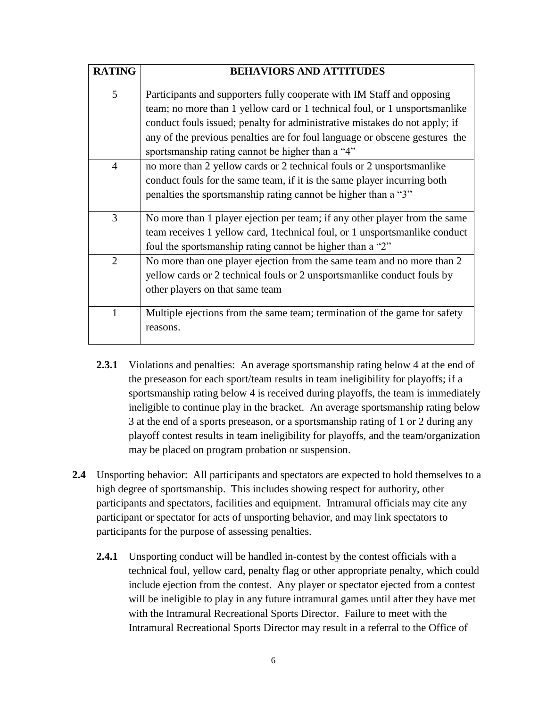| <b>RATING</b>  | <b>BEHAVIORS AND ATTITUDES</b>                                                                                                                                                                                                                                                                                                                                        |
|----------------|-----------------------------------------------------------------------------------------------------------------------------------------------------------------------------------------------------------------------------------------------------------------------------------------------------------------------------------------------------------------------|
| 5              | Participants and supporters fully cooperate with IM Staff and opposing<br>team; no more than 1 yellow card or 1 technical foul, or 1 unsportsmanlike<br>conduct fouls issued; penalty for administrative mistakes do not apply; if<br>any of the previous penalties are for foul language or obscene gestures the<br>sportsmanship rating cannot be higher than a "4" |
| $\overline{4}$ | no more than 2 yellow cards or 2 technical fouls or 2 unsports manlike<br>conduct fouls for the same team, if it is the same player incurring both<br>penalties the sportsmanship rating cannot be higher than a "3"                                                                                                                                                  |
| 3              | No more than 1 player ejection per team; if any other player from the same<br>team receives 1 yellow card, 1 technical foul, or 1 unsports manlike conduct<br>foul the sportsmanship rating cannot be higher than a "2"                                                                                                                                               |
| $\overline{2}$ | No more than one player ejection from the same team and no more than 2<br>yellow cards or 2 technical fouls or 2 unsportsmanlike conduct fouls by<br>other players on that same team                                                                                                                                                                                  |
| 1              | Multiple ejections from the same team; termination of the game for safety<br>reasons.                                                                                                                                                                                                                                                                                 |

- **2.3.1** Violations and penalties: An average sportsmanship rating below 4 at the end of the preseason for each sport/team results in team ineligibility for playoffs; if a sportsmanship rating below 4 is received during playoffs, the team is immediately ineligible to continue play in the bracket. An average sportsmanship rating below 3 at the end of a sports preseason, or a sportsmanship rating of 1 or 2 during any playoff contest results in team ineligibility for playoffs, and the team/organization may be placed on program probation or suspension.
- **2.4** Unsporting behavior: All participants and spectators are expected to hold themselves to a high degree of sportsmanship. This includes showing respect for authority, other participants and spectators, facilities and equipment. Intramural officials may cite any participant or spectator for acts of unsporting behavior, and may link spectators to participants for the purpose of assessing penalties.
	- **2.4.1** Unsporting conduct will be handled in-contest by the contest officials with a technical foul, yellow card, penalty flag or other appropriate penalty, which could include ejection from the contest. Any player or spectator ejected from a contest will be ineligible to play in any future intramural games until after they have met with the Intramural Recreational Sports Director. Failure to meet with the Intramural Recreational Sports Director may result in a referral to the Office of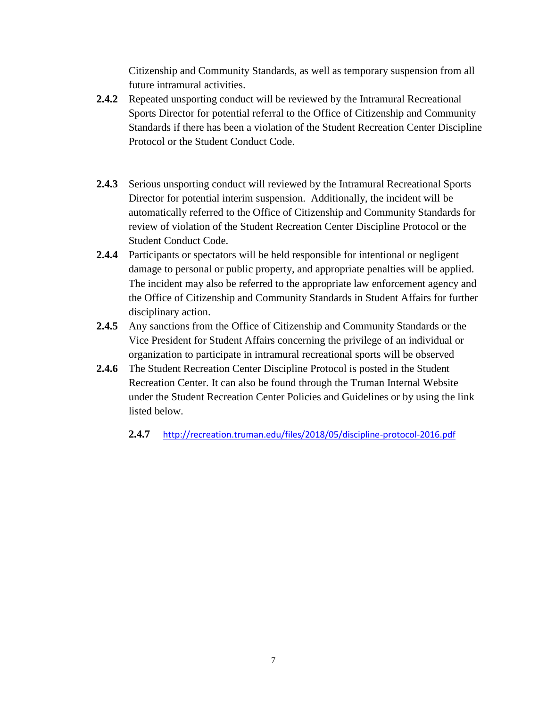Citizenship and Community Standards, as well as temporary suspension from all future intramural activities.

- **2.4.2** Repeated unsporting conduct will be reviewed by the Intramural Recreational Sports Director for potential referral to the Office of Citizenship and Community Standards if there has been a violation of the Student Recreation Center Discipline Protocol or the Student Conduct Code.
- **2.4.3** Serious unsporting conduct will reviewed by the Intramural Recreational Sports Director for potential interim suspension. Additionally, the incident will be automatically referred to the Office of Citizenship and Community Standards for review of violation of the Student Recreation Center Discipline Protocol or the Student Conduct Code.
- **2.4.4** Participants or spectators will be held responsible for intentional or negligent damage to personal or public property, and appropriate penalties will be applied. The incident may also be referred to the appropriate law enforcement agency and the Office of Citizenship and Community Standards in Student Affairs for further disciplinary action.
- **2.4.5** Any sanctions from the Office of Citizenship and Community Standards or the Vice President for Student Affairs concerning the privilege of an individual or organization to participate in intramural recreational sports will be observed
- **2.4.6** The Student Recreation Center Discipline Protocol is posted in the Student Recreation Center. It can also be found through the Truman Internal Website under the Student Recreation Center Policies and Guidelines or by using the link listed below.
	- **2.4.7** <http://recreation.truman.edu/files/2018/05/discipline-protocol-2016.pdf>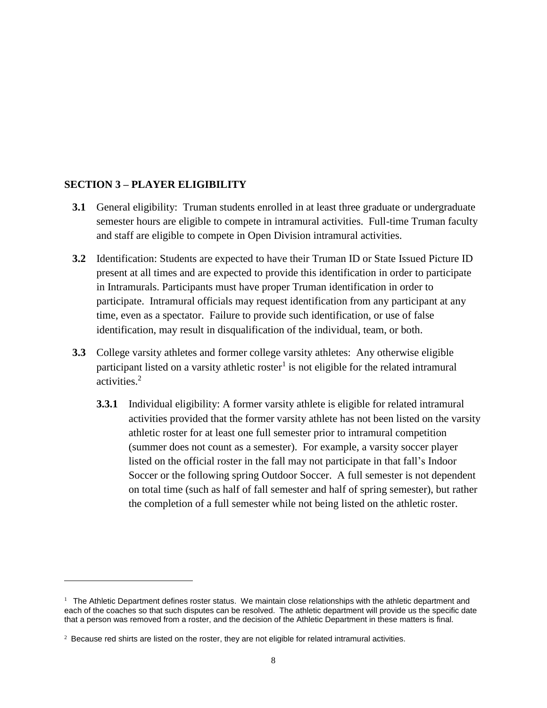#### **SECTION 3 – PLAYER ELIGIBILITY**

 $\overline{\phantom{a}}$ 

- **3.1** General eligibility: Truman students enrolled in at least three graduate or undergraduate semester hours are eligible to compete in intramural activities. Full-time Truman faculty and staff are eligible to compete in Open Division intramural activities.
- **3.2** Identification: Students are expected to have their Truman ID or State Issued Picture ID present at all times and are expected to provide this identification in order to participate in Intramurals. Participants must have proper Truman identification in order to participate. Intramural officials may request identification from any participant at any time, even as a spectator. Failure to provide such identification, or use of false identification, may result in disqualification of the individual, team, or both.
- **3.3** College varsity athletes and former college varsity athletes: Any otherwise eligible participant listed on a varsity athletic roster<sup>1</sup> is not eligible for the related intramural activities.<sup>2</sup>
	- **3.3.1** Individual eligibility: A former varsity athlete is eligible for related intramural activities provided that the former varsity athlete has not been listed on the varsity athletic roster for at least one full semester prior to intramural competition (summer does not count as a semester). For example, a varsity soccer player listed on the official roster in the fall may not participate in that fall's Indoor Soccer or the following spring Outdoor Soccer. A full semester is not dependent on total time (such as half of fall semester and half of spring semester), but rather the completion of a full semester while not being listed on the athletic roster.

<sup>&</sup>lt;sup>1</sup> The Athletic Department defines roster status. We maintain close relationships with the athletic department and each of the coaches so that such disputes can be resolved. The athletic department will provide us the specific date that a person was removed from a roster, and the decision of the Athletic Department in these matters is final.

 $2$  Because red shirts are listed on the roster, they are not eligible for related intramural activities.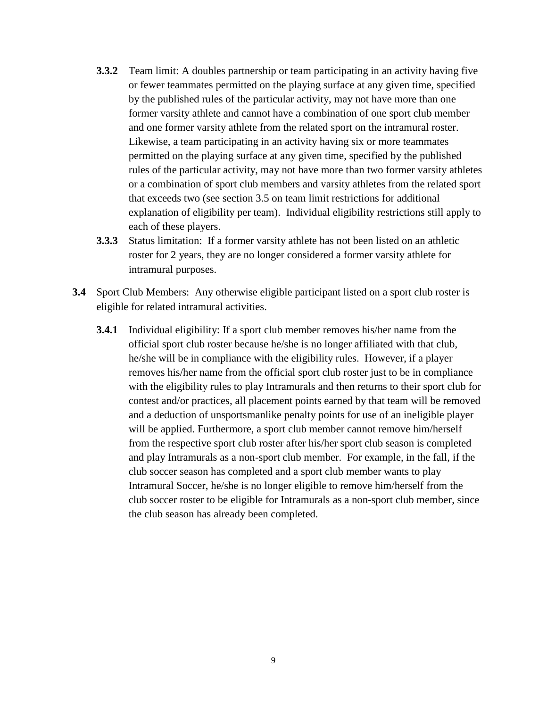- **3.3.2** Team limit: A doubles partnership or team participating in an activity having five or fewer teammates permitted on the playing surface at any given time, specified by the published rules of the particular activity, may not have more than one former varsity athlete and cannot have a combination of one sport club member and one former varsity athlete from the related sport on the intramural roster. Likewise, a team participating in an activity having six or more teammates permitted on the playing surface at any given time, specified by the published rules of the particular activity, may not have more than two former varsity athletes or a combination of sport club members and varsity athletes from the related sport that exceeds two (see section 3.5 on team limit restrictions for additional explanation of eligibility per team). Individual eligibility restrictions still apply to each of these players.
- **3.3.3** Status limitation: If a former varsity athlete has not been listed on an athletic roster for 2 years, they are no longer considered a former varsity athlete for intramural purposes.
- **3.4** Sport Club Members: Any otherwise eligible participant listed on a sport club roster is eligible for related intramural activities.
	- **3.4.1** Individual eligibility: If a sport club member removes his/her name from the official sport club roster because he/she is no longer affiliated with that club, he/she will be in compliance with the eligibility rules. However, if a player removes his/her name from the official sport club roster just to be in compliance with the eligibility rules to play Intramurals and then returns to their sport club for contest and/or practices, all placement points earned by that team will be removed and a deduction of unsportsmanlike penalty points for use of an ineligible player will be applied. Furthermore, a sport club member cannot remove him/herself from the respective sport club roster after his/her sport club season is completed and play Intramurals as a non-sport club member. For example, in the fall, if the club soccer season has completed and a sport club member wants to play Intramural Soccer, he/she is no longer eligible to remove him/herself from the club soccer roster to be eligible for Intramurals as a non-sport club member, since the club season has already been completed.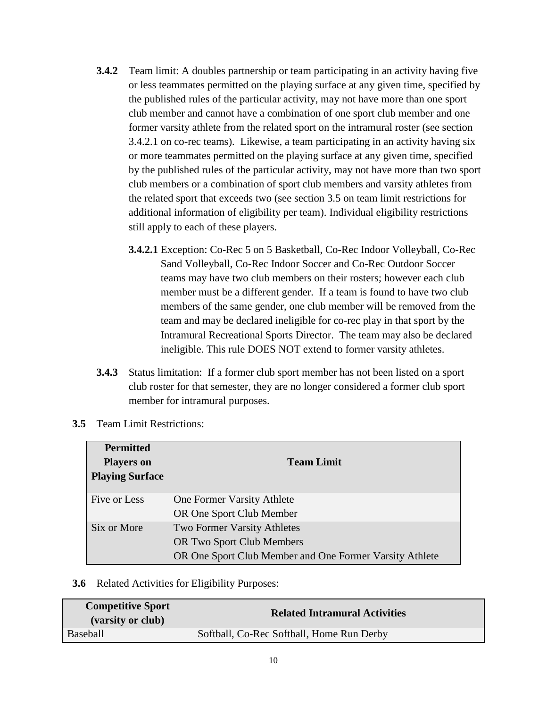- **3.4.2** Team limit: A doubles partnership or team participating in an activity having five or less teammates permitted on the playing surface at any given time, specified by the published rules of the particular activity, may not have more than one sport club member and cannot have a combination of one sport club member and one former varsity athlete from the related sport on the intramural roster (see section 3.4.2.1 on co-rec teams). Likewise, a team participating in an activity having six or more teammates permitted on the playing surface at any given time, specified by the published rules of the particular activity, may not have more than two sport club members or a combination of sport club members and varsity athletes from the related sport that exceeds two (see section 3.5 on team limit restrictions for additional information of eligibility per team). Individual eligibility restrictions still apply to each of these players.
	- **3.4.2.1** Exception: Co-Rec 5 on 5 Basketball, Co-Rec Indoor Volleyball, Co-Rec Sand Volleyball, Co-Rec Indoor Soccer and Co-Rec Outdoor Soccer teams may have two club members on their rosters; however each club member must be a different gender. If a team is found to have two club members of the same gender, one club member will be removed from the team and may be declared ineligible for co-rec play in that sport by the Intramural Recreational Sports Director. The team may also be declared ineligible. This rule DOES NOT extend to former varsity athletes.
- **3.4.3** Status limitation: If a former club sport member has not been listed on a sport club roster for that semester, they are no longer considered a former club sport member for intramural purposes.

| <b>Permitted</b><br><b>Players on</b><br><b>Playing Surface</b> | <b>Team Limit</b>                                                                                                   |  |  |
|-----------------------------------------------------------------|---------------------------------------------------------------------------------------------------------------------|--|--|
| Five or Less                                                    | One Former Varsity Athlete<br>OR One Sport Club Member                                                              |  |  |
| Six or More                                                     | Two Former Varsity Athletes<br>OR Two Sport Club Members<br>OR One Sport Club Member and One Former Varsity Athlete |  |  |

**3.5** Team Limit Restrictions:

**3.6** Related Activities for Eligibility Purposes:

| <b>Competitive Sport</b><br>(varsity or club) | <b>Related Intramural Activities</b>      |
|-----------------------------------------------|-------------------------------------------|
| <b>Baseball</b>                               | Softball, Co-Rec Softball, Home Run Derby |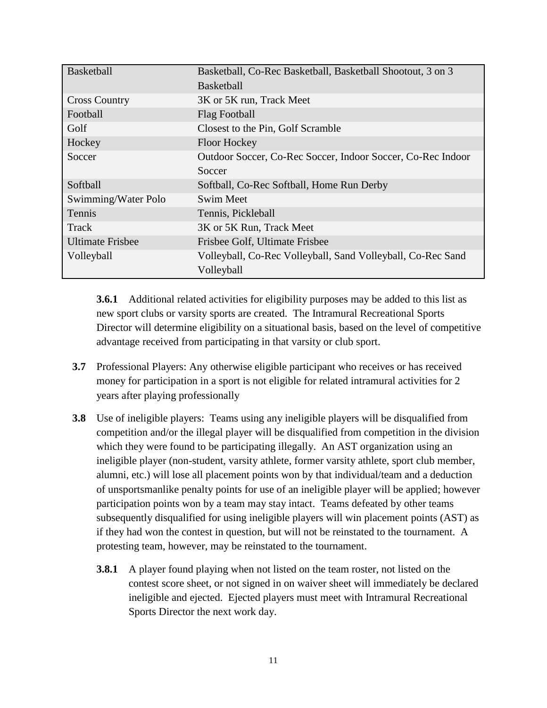| <b>Basketball</b>       | Basketball, Co-Rec Basketball, Basketball Shootout, 3 on 3  |  |  |
|-------------------------|-------------------------------------------------------------|--|--|
|                         | <b>Basketball</b>                                           |  |  |
| <b>Cross Country</b>    | 3K or 5K run, Track Meet                                    |  |  |
| Football                | Flag Football                                               |  |  |
| Golf                    | Closest to the Pin, Golf Scramble                           |  |  |
| Hockey                  | Floor Hockey                                                |  |  |
| Soccer                  | Outdoor Soccer, Co-Rec Soccer, Indoor Soccer, Co-Rec Indoor |  |  |
|                         | Soccer                                                      |  |  |
| Softball                | Softball, Co-Rec Softball, Home Run Derby                   |  |  |
| Swimming/Water Polo     | <b>Swim Meet</b>                                            |  |  |
| Tennis                  | Tennis, Pickleball                                          |  |  |
| Track                   | 3K or 5K Run, Track Meet                                    |  |  |
| <b>Ultimate Frisbee</b> | Frisbee Golf, Ultimate Frisbee                              |  |  |
| Volleyball              | Volleyball, Co-Rec Volleyball, Sand Volleyball, Co-Rec Sand |  |  |
|                         | Volleyball                                                  |  |  |

**3.6.1** Additional related activities for eligibility purposes may be added to this list as new sport clubs or varsity sports are created. The Intramural Recreational Sports Director will determine eligibility on a situational basis, based on the level of competitive advantage received from participating in that varsity or club sport.

- **3.7** Professional Players: Any otherwise eligible participant who receives or has received money for participation in a sport is not eligible for related intramural activities for 2 years after playing professionally
- **3.8** Use of ineligible players: Teams using any ineligible players will be disqualified from competition and/or the illegal player will be disqualified from competition in the division which they were found to be participating illegally. An AST organization using an ineligible player (non-student, varsity athlete, former varsity athlete, sport club member, alumni, etc.) will lose all placement points won by that individual/team and a deduction of unsportsmanlike penalty points for use of an ineligible player will be applied; however participation points won by a team may stay intact. Teams defeated by other teams subsequently disqualified for using ineligible players will win placement points (AST) as if they had won the contest in question, but will not be reinstated to the tournament. A protesting team, however, may be reinstated to the tournament.
	- **3.8.1** A player found playing when not listed on the team roster, not listed on the contest score sheet, or not signed in on waiver sheet will immediately be declared ineligible and ejected. Ejected players must meet with Intramural Recreational Sports Director the next work day.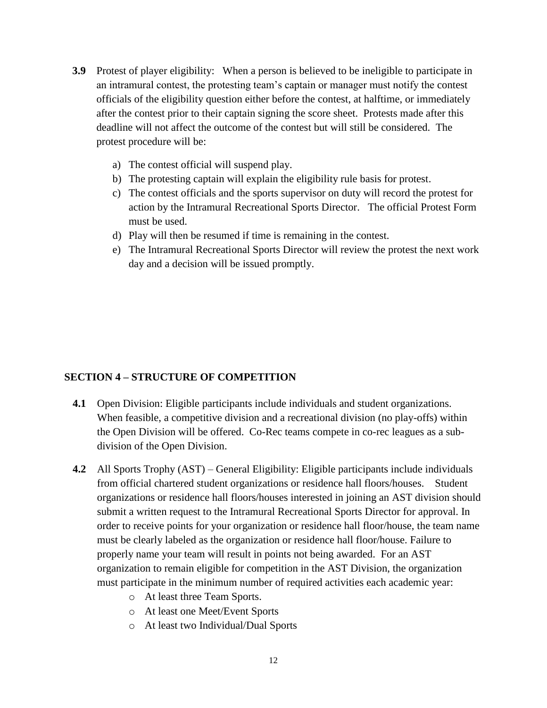- **3.9** Protest of player eligibility: When a person is believed to be ineligible to participate in an intramural contest, the protesting team's captain or manager must notify the contest officials of the eligibility question either before the contest, at halftime, or immediately after the contest prior to their captain signing the score sheet. Protests made after this deadline will not affect the outcome of the contest but will still be considered. The protest procedure will be:
	- a) The contest official will suspend play.
	- b) The protesting captain will explain the eligibility rule basis for protest.
	- c) The contest officials and the sports supervisor on duty will record the protest for action by the Intramural Recreational Sports Director. The official Protest Form must be used.
	- d) Play will then be resumed if time is remaining in the contest.
	- e) The Intramural Recreational Sports Director will review the protest the next work day and a decision will be issued promptly.

### **SECTION 4 – STRUCTURE OF COMPETITION**

- **4.1** Open Division: Eligible participants include individuals and student organizations. When feasible, a competitive division and a recreational division (no play-offs) within the Open Division will be offered. Co-Rec teams compete in co-rec leagues as a subdivision of the Open Division.
- **4.2** All Sports Trophy (AST) General Eligibility: Eligible participants include individuals from official chartered student organizations or residence hall floors/houses. Student organizations or residence hall floors/houses interested in joining an AST division should submit a written request to the Intramural Recreational Sports Director for approval. In order to receive points for your organization or residence hall floor/house, the team name must be clearly labeled as the organization or residence hall floor/house. Failure to properly name your team will result in points not being awarded. For an AST organization to remain eligible for competition in the AST Division, the organization must participate in the minimum number of required activities each academic year:
	- o At least three Team Sports.
	- o At least one Meet/Event Sports
	- o At least two Individual/Dual Sports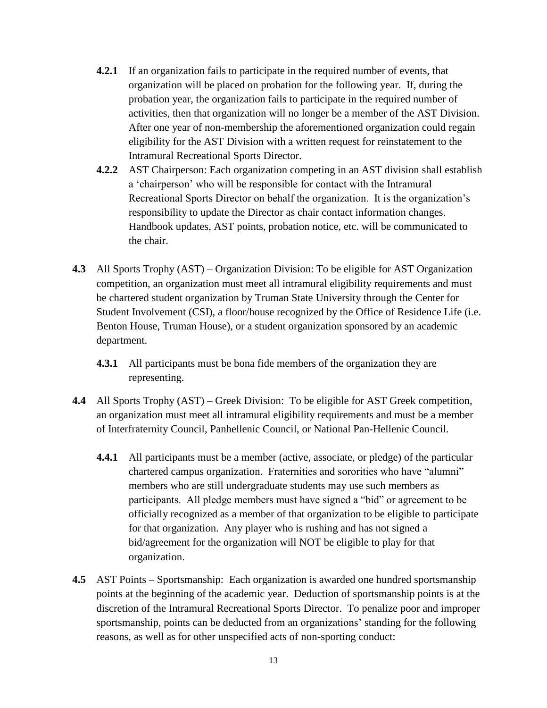- **4.2.1** If an organization fails to participate in the required number of events, that organization will be placed on probation for the following year. If, during the probation year, the organization fails to participate in the required number of activities, then that organization will no longer be a member of the AST Division. After one year of non-membership the aforementioned organization could regain eligibility for the AST Division with a written request for reinstatement to the Intramural Recreational Sports Director.
- **4.2.2** AST Chairperson: Each organization competing in an AST division shall establish a 'chairperson' who will be responsible for contact with the Intramural Recreational Sports Director on behalf the organization. It is the organization's responsibility to update the Director as chair contact information changes. Handbook updates, AST points, probation notice, etc. will be communicated to the chair.
- **4.3** All Sports Trophy (AST) Organization Division: To be eligible for AST Organization competition, an organization must meet all intramural eligibility requirements and must be chartered student organization by Truman State University through the Center for Student Involvement (CSI), a floor/house recognized by the Office of Residence Life (i.e. Benton House, Truman House), or a student organization sponsored by an academic department.
	- **4.3.1** All participants must be bona fide members of the organization they are representing.
- **4.4** All Sports Trophy (AST) Greek Division: To be eligible for AST Greek competition, an organization must meet all intramural eligibility requirements and must be a member of Interfraternity Council, Panhellenic Council, or National Pan-Hellenic Council.
	- **4.4.1** All participants must be a member (active, associate, or pledge) of the particular chartered campus organization. Fraternities and sororities who have "alumni" members who are still undergraduate students may use such members as participants. All pledge members must have signed a "bid" or agreement to be officially recognized as a member of that organization to be eligible to participate for that organization. Any player who is rushing and has not signed a bid/agreement for the organization will NOT be eligible to play for that organization.
- **4.5** AST Points Sportsmanship: Each organization is awarded one hundred sportsmanship points at the beginning of the academic year. Deduction of sportsmanship points is at the discretion of the Intramural Recreational Sports Director. To penalize poor and improper sportsmanship, points can be deducted from an organizations' standing for the following reasons, as well as for other unspecified acts of non-sporting conduct: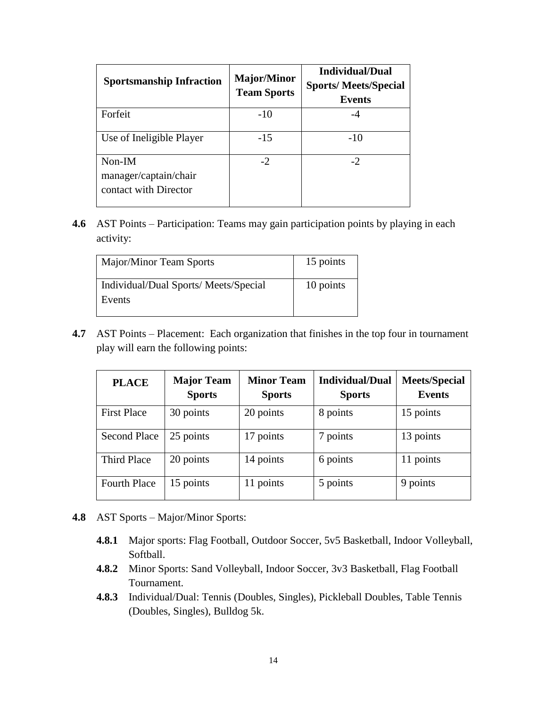| <b>Sportsmanship Infraction</b>                            | <b>Major/Minor</b><br><b>Team Sports</b> | <b>Individual/Dual</b><br><b>Sports/Meets/Special</b><br><b>Events</b> |
|------------------------------------------------------------|------------------------------------------|------------------------------------------------------------------------|
| Forfeit                                                    | $-10$                                    |                                                                        |
| Use of Ineligible Player                                   | $-15$                                    | -10                                                                    |
| $Non-IM$<br>manager/captain/chair<br>contact with Director | $-2$                                     | $-2$                                                                   |

**4.6** AST Points – Participation: Teams may gain participation points by playing in each activity:

| <b>Major/Minor Team Sports</b>                 | 15 points |
|------------------------------------------------|-----------|
| Individual/Dual Sports/Meets/Special<br>Events | 10 points |

**4.7** AST Points – Placement: Each organization that finishes in the top four in tournament play will earn the following points:

| <b>PLACE</b>        | <b>Major Team</b><br><b>Sports</b> | <b>Minor Team</b><br><b>Sports</b> | <b>Individual/Dual</b><br><b>Sports</b> | <b>Meets/Special</b><br><b>Events</b> |
|---------------------|------------------------------------|------------------------------------|-----------------------------------------|---------------------------------------|
| <b>First Place</b>  | 30 points                          | 20 points                          | 8 points                                | 15 points                             |
| <b>Second Place</b> | 25 points                          | 17 points                          | 7 points                                | 13 points                             |
| Third Place         | 20 points                          | 14 points                          | 6 points                                | 11 points                             |
| <b>Fourth Place</b> | 15 points                          | 11 points                          | 5 points                                | 9 points                              |

- **4.8** AST Sports Major/Minor Sports:
	- **4.8.1** Major sports: Flag Football, Outdoor Soccer, 5v5 Basketball, Indoor Volleyball, Softball.
	- **4.8.2** Minor Sports: Sand Volleyball, Indoor Soccer, 3v3 Basketball, Flag Football Tournament.
	- **4.8.3** Individual/Dual: Tennis (Doubles, Singles), Pickleball Doubles, Table Tennis (Doubles, Singles), Bulldog 5k.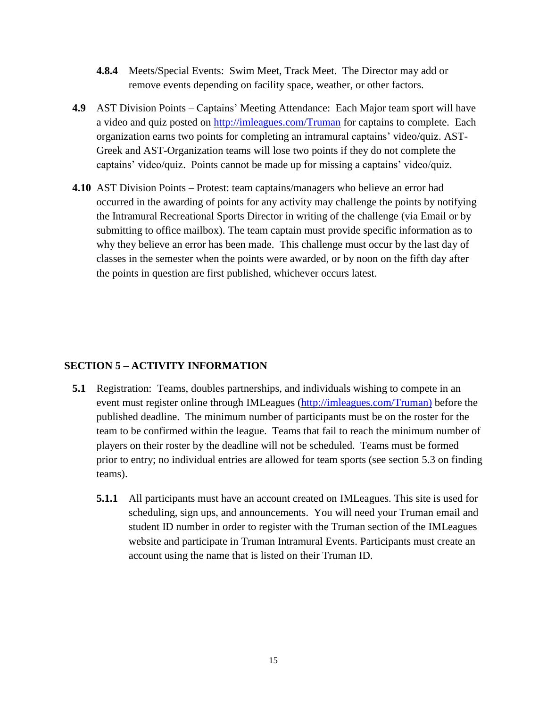- **4.8.4** Meets/Special Events: Swim Meet, Track Meet. The Director may add or remove events depending on facility space, weather, or other factors.
- **4.9** AST Division Points Captains' Meeting Attendance: Each Major team sport will have a video and quiz posted on<http://imleagues.com/Truman> for captains to complete. Each organization earns two points for completing an intramural captains' video/quiz. AST-Greek and AST-Organization teams will lose two points if they do not complete the captains' video/quiz. Points cannot be made up for missing a captains' video/quiz.
- **4.10** AST Division Points Protest: team captains/managers who believe an error had occurred in the awarding of points for any activity may challenge the points by notifying the Intramural Recreational Sports Director in writing of the challenge (via Email or by submitting to office mailbox). The team captain must provide specific information as to why they believe an error has been made. This challenge must occur by the last day of classes in the semester when the points were awarded, or by noon on the fifth day after the points in question are first published, whichever occurs latest.

# **SECTION 5 – ACTIVITY INFORMATION**

- **5.1** Registration: Teams, doubles partnerships, and individuals wishing to compete in an event must register online through IMLeagues [\(http://imleagues.com/Truman\)](http://imleagues.com/Truman) before the published deadline. The minimum number of participants must be on the roster for the team to be confirmed within the league. Teams that fail to reach the minimum number of players on their roster by the deadline will not be scheduled. Teams must be formed prior to entry; no individual entries are allowed for team sports (see section 5.3 on finding teams).
	- **5.1.1** All participants must have an account created on IMLeagues. This site is used for scheduling, sign ups, and announcements. You will need your Truman email and student ID number in order to register with the Truman section of the IMLeagues website and participate in Truman Intramural Events. Participants must create an account using the name that is listed on their Truman ID.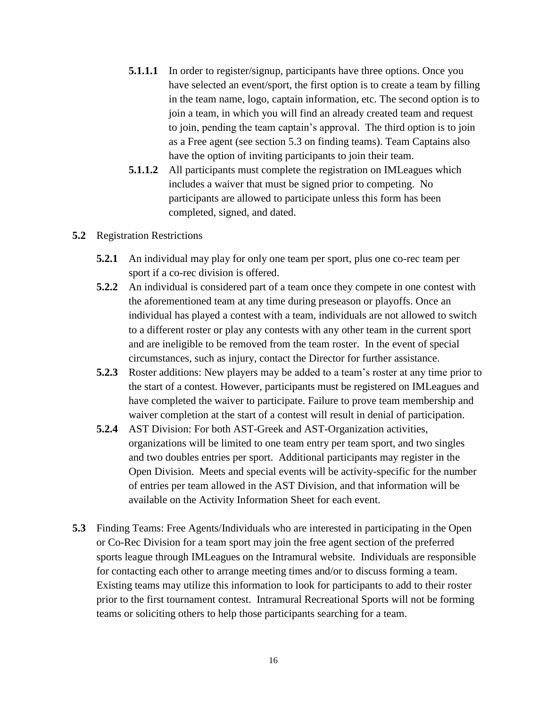- **5.1.1.1** In order to register/signup, participants have three options. Once you have selected an event/sport, the first option is to create a team by filling in the team name, logo, captain information, etc. The second option is to join a team, in which you will find an already created team and request to join, pending the team captain's approval. The third option is to join as a Free agent (see section 5.3 on finding teams). Team Captains also have the option of inviting participants to join their team.
- **5.1.1.2** All participants must complete the registration on IMLeagues which includes a waiver that must be signed prior to competing. No participants are allowed to participate unless this form has been completed, signed, and dated.

#### **5.2** Registration Restrictions

- **5.2.1** An individual may play for only one team per sport, plus one co-rec team per sport if a co-rec division is offered.
- **5.2.2** An individual is considered part of a team once they compete in one contest with the aforementioned team at any time during preseason or playoffs. Once an individual has played a contest with a team, individuals are not allowed to switch to a different roster or play any contests with any other team in the current sport and are ineligible to be removed from the team roster. In the event of special circumstances, such as injury, contact the Director for further assistance.
- **5.2.3** Roster additions: New players may be added to a team's roster at any time prior to the start of a contest. However, participants must be registered on IMLeagues and have completed the waiver to participate. Failure to prove team membership and waiver completion at the start of a contest will result in denial of participation.
- **5.2.4** AST Division: For both AST-Greek and AST-Organization activities, organizations will be limited to one team entry per team sport, and two singles and two doubles entries per sport. Additional participants may register in the Open Division. Meets and special events will be activity-specific for the number of entries per team allowed in the AST Division, and that information will be available on the Activity Information Sheet for each event.
- **5.3** Finding Teams: Free Agents/Individuals who are interested in participating in the Open or Co-Rec Division for a team sport may join the free agent section of the preferred sports league through IMLeagues on the Intramural website. Individuals are responsible for contacting each other to arrange meeting times and/or to discuss forming a team. Existing teams may utilize this information to look for participants to add to their roster prior to the first tournament contest. Intramural Recreational Sports will not be forming teams or soliciting others to help those participants searching for a team.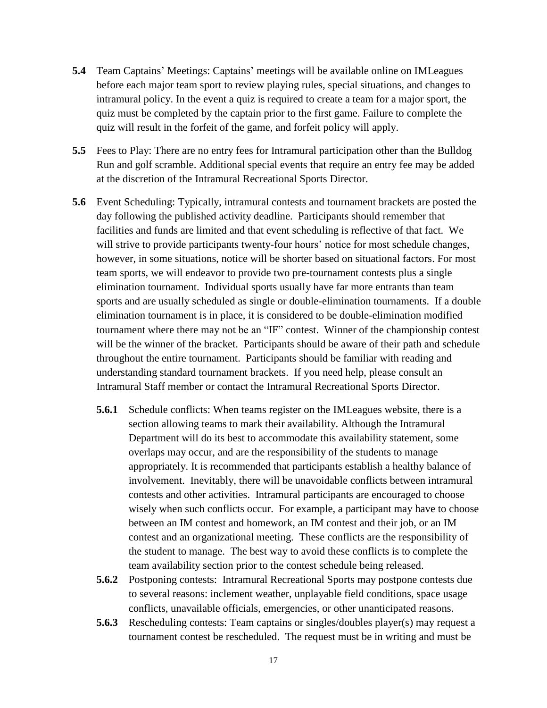- **5.4** Team Captains' Meetings: Captains' meetings will be available online on IMLeagues before each major team sport to review playing rules, special situations, and changes to intramural policy. In the event a quiz is required to create a team for a major sport, the quiz must be completed by the captain prior to the first game. Failure to complete the quiz will result in the forfeit of the game, and forfeit policy will apply.
- **5.5** Fees to Play: There are no entry fees for Intramural participation other than the Bulldog Run and golf scramble. Additional special events that require an entry fee may be added at the discretion of the Intramural Recreational Sports Director.
- **5.6** Event Scheduling: Typically, intramural contests and tournament brackets are posted the day following the published activity deadline. Participants should remember that facilities and funds are limited and that event scheduling is reflective of that fact. We will strive to provide participants twenty-four hours' notice for most schedule changes, however, in some situations, notice will be shorter based on situational factors. For most team sports, we will endeavor to provide two pre-tournament contests plus a single elimination tournament. Individual sports usually have far more entrants than team sports and are usually scheduled as single or double-elimination tournaments. If a double elimination tournament is in place, it is considered to be double-elimination modified tournament where there may not be an "IF" contest. Winner of the championship contest will be the winner of the bracket. Participants should be aware of their path and schedule throughout the entire tournament. Participants should be familiar with reading and understanding standard tournament brackets. If you need help, please consult an Intramural Staff member or contact the Intramural Recreational Sports Director.
	- **5.6.1** Schedule conflicts: When teams register on the IMLeagues website, there is a section allowing teams to mark their availability. Although the Intramural Department will do its best to accommodate this availability statement, some overlaps may occur, and are the responsibility of the students to manage appropriately. It is recommended that participants establish a healthy balance of involvement. Inevitably, there will be unavoidable conflicts between intramural contests and other activities. Intramural participants are encouraged to choose wisely when such conflicts occur. For example, a participant may have to choose between an IM contest and homework, an IM contest and their job, or an IM contest and an organizational meeting. These conflicts are the responsibility of the student to manage. The best way to avoid these conflicts is to complete the team availability section prior to the contest schedule being released.
	- **5.6.2** Postponing contests: Intramural Recreational Sports may postpone contests due to several reasons: inclement weather, unplayable field conditions, space usage conflicts, unavailable officials, emergencies, or other unanticipated reasons.
	- **5.6.3** Rescheduling contests: Team captains or singles/doubles player(s) may request a tournament contest be rescheduled. The request must be in writing and must be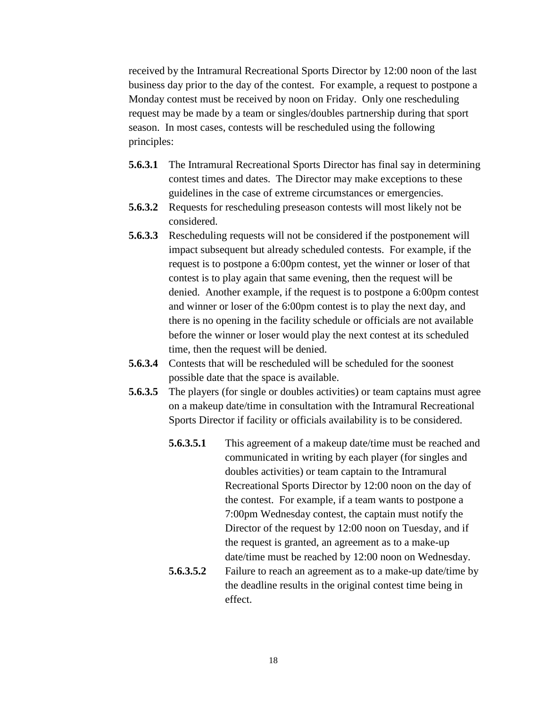received by the Intramural Recreational Sports Director by 12:00 noon of the last business day prior to the day of the contest. For example, a request to postpone a Monday contest must be received by noon on Friday. Only one rescheduling request may be made by a team or singles/doubles partnership during that sport season. In most cases, contests will be rescheduled using the following principles:

- **5.6.3.1** The Intramural Recreational Sports Director has final say in determining contest times and dates. The Director may make exceptions to these guidelines in the case of extreme circumstances or emergencies.
- **5.6.3.2** Requests for rescheduling preseason contests will most likely not be considered.
- **5.6.3.3** Rescheduling requests will not be considered if the postponement will impact subsequent but already scheduled contests. For example, if the request is to postpone a 6:00pm contest, yet the winner or loser of that contest is to play again that same evening, then the request will be denied. Another example, if the request is to postpone a 6:00pm contest and winner or loser of the 6:00pm contest is to play the next day, and there is no opening in the facility schedule or officials are not available before the winner or loser would play the next contest at its scheduled time, then the request will be denied.
- **5.6.3.4** Contests that will be rescheduled will be scheduled for the soonest possible date that the space is available.
- **5.6.3.5** The players (for single or doubles activities) or team captains must agree on a makeup date/time in consultation with the Intramural Recreational Sports Director if facility or officials availability is to be considered.
	- **5.6.3.5.1** This agreement of a makeup date/time must be reached and communicated in writing by each player (for singles and doubles activities) or team captain to the Intramural Recreational Sports Director by 12:00 noon on the day of the contest. For example, if a team wants to postpone a 7:00pm Wednesday contest, the captain must notify the Director of the request by 12:00 noon on Tuesday, and if the request is granted, an agreement as to a make-up date/time must be reached by 12:00 noon on Wednesday.
	- **5.6.3.5.2** Failure to reach an agreement as to a make-up date/time by the deadline results in the original contest time being in effect.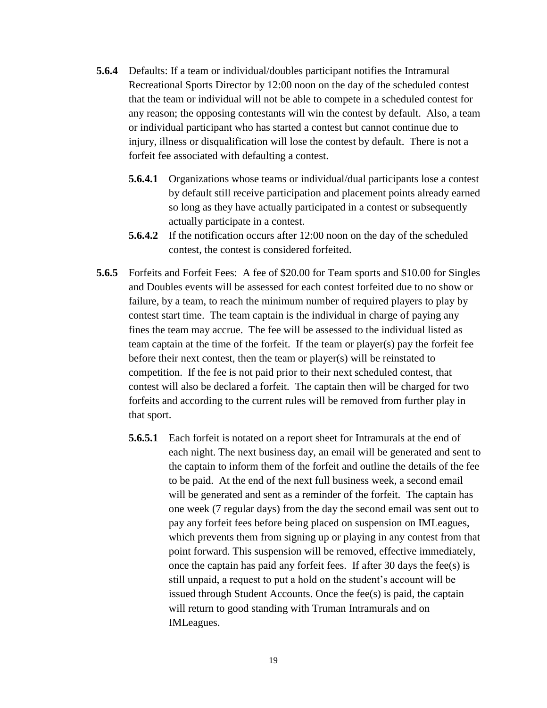- **5.6.4** Defaults: If a team or individual/doubles participant notifies the Intramural Recreational Sports Director by 12:00 noon on the day of the scheduled contest that the team or individual will not be able to compete in a scheduled contest for any reason; the opposing contestants will win the contest by default. Also, a team or individual participant who has started a contest but cannot continue due to injury, illness or disqualification will lose the contest by default. There is not a forfeit fee associated with defaulting a contest.
	- **5.6.4.1** Organizations whose teams or individual/dual participants lose a contest by default still receive participation and placement points already earned so long as they have actually participated in a contest or subsequently actually participate in a contest.
	- **5.6.4.2** If the notification occurs after 12:00 noon on the day of the scheduled contest, the contest is considered forfeited.
- **5.6.5** Forfeits and Forfeit Fees: A fee of \$20.00 for Team sports and \$10.00 for Singles and Doubles events will be assessed for each contest forfeited due to no show or failure, by a team, to reach the minimum number of required players to play by contest start time. The team captain is the individual in charge of paying any fines the team may accrue. The fee will be assessed to the individual listed as team captain at the time of the forfeit. If the team or player(s) pay the forfeit fee before their next contest, then the team or player(s) will be reinstated to competition. If the fee is not paid prior to their next scheduled contest, that contest will also be declared a forfeit. The captain then will be charged for two forfeits and according to the current rules will be removed from further play in that sport.
	- **5.6.5.1** Each forfeit is notated on a report sheet for Intramurals at the end of each night. The next business day, an email will be generated and sent to the captain to inform them of the forfeit and outline the details of the fee to be paid. At the end of the next full business week, a second email will be generated and sent as a reminder of the forfeit. The captain has one week (7 regular days) from the day the second email was sent out to pay any forfeit fees before being placed on suspension on IMLeagues, which prevents them from signing up or playing in any contest from that point forward. This suspension will be removed, effective immediately, once the captain has paid any forfeit fees. If after 30 days the fee(s) is still unpaid, a request to put a hold on the student's account will be issued through Student Accounts. Once the fee(s) is paid, the captain will return to good standing with Truman Intramurals and on IMLeagues.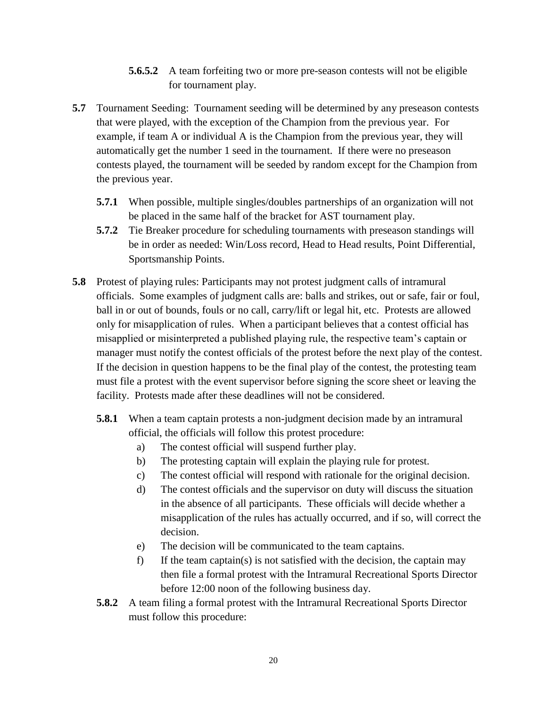- **5.6.5.2** A team forfeiting two or more pre-season contests will not be eligible for tournament play.
- **5.7** Tournament Seeding: Tournament seeding will be determined by any preseason contests that were played, with the exception of the Champion from the previous year. For example, if team A or individual A is the Champion from the previous year, they will automatically get the number 1 seed in the tournament. If there were no preseason contests played, the tournament will be seeded by random except for the Champion from the previous year.
	- **5.7.1** When possible, multiple singles/doubles partnerships of an organization will not be placed in the same half of the bracket for AST tournament play.
	- **5.7.2** Tie Breaker procedure for scheduling tournaments with preseason standings will be in order as needed: Win/Loss record, Head to Head results, Point Differential, Sportsmanship Points.
- **5.8** Protest of playing rules: Participants may not protest judgment calls of intramural officials. Some examples of judgment calls are: balls and strikes, out or safe, fair or foul, ball in or out of bounds, fouls or no call, carry/lift or legal hit, etc. Protests are allowed only for misapplication of rules. When a participant believes that a contest official has misapplied or misinterpreted a published playing rule, the respective team's captain or manager must notify the contest officials of the protest before the next play of the contest. If the decision in question happens to be the final play of the contest, the protesting team must file a protest with the event supervisor before signing the score sheet or leaving the facility. Protests made after these deadlines will not be considered.
	- **5.8.1** When a team captain protests a non-judgment decision made by an intramural official, the officials will follow this protest procedure:
		- a) The contest official will suspend further play.
		- b) The protesting captain will explain the playing rule for protest.
		- c) The contest official will respond with rationale for the original decision.
		- d) The contest officials and the supervisor on duty will discuss the situation in the absence of all participants. These officials will decide whether a misapplication of the rules has actually occurred, and if so, will correct the decision.
		- e) The decision will be communicated to the team captains.
		- f) If the team captain(s) is not satisfied with the decision, the captain may then file a formal protest with the Intramural Recreational Sports Director before 12:00 noon of the following business day.
	- **5.8.2** A team filing a formal protest with the Intramural Recreational Sports Director must follow this procedure: